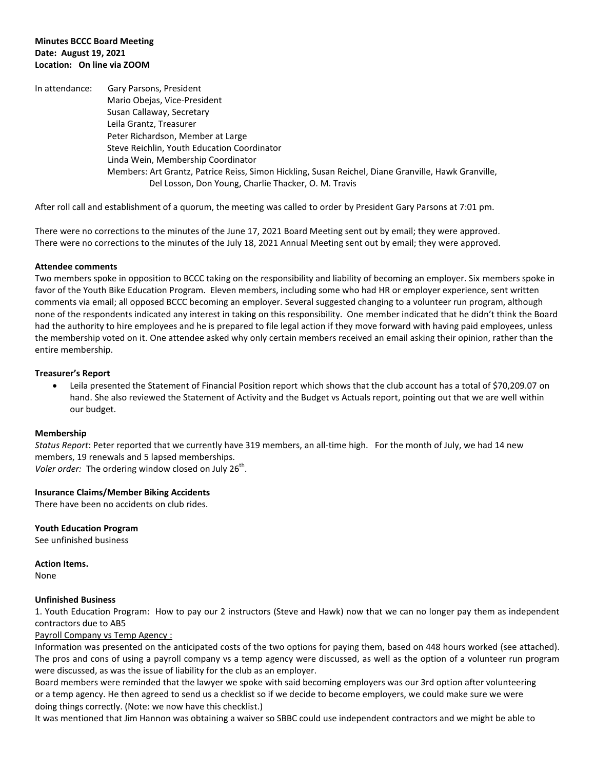#### **Minutes BCCC Board Meeting Date: August 19, 2021 Location: On line via ZOOM**

In attendance: Gary Parsons, President Mario Obejas, Vice-President Susan Callaway, Secretary Leila Grantz, Treasurer Peter Richardson, Member at Large Steve Reichlin, Youth Education Coordinator Linda Wein, Membership Coordinator Members: Art Grantz, Patrice Reiss, Simon Hickling, Susan Reichel, Diane Granville, Hawk Granville, Del Losson, Don Young, Charlie Thacker, O. M. Travis

After roll call and establishment of a quorum, the meeting was called to order by President Gary Parsons at 7:01 pm.

There were no corrections to the minutes of the June 17, 2021 Board Meeting sent out by email; they were approved. There were no corrections to the minutes of the July 18, 2021 Annual Meeting sent out by email; they were approved.

#### **Attendee comments**

Two members spoke in opposition to BCCC taking on the responsibility and liability of becoming an employer. Six members spoke in favor of the Youth Bike Education Program. Eleven members, including some who had HR or employer experience, sent written comments via email; all opposed BCCC becoming an employer. Several suggested changing to a volunteer run program, although none of the respondents indicated any interest in taking on this responsibility. One member indicated that he didn't think the Board had the authority to hire employees and he is prepared to file legal action if they move forward with having paid employees, unless the membership voted on it. One attendee asked why only certain members received an email asking their opinion, rather than the entire membership.

#### **Treasurer's Report**

 Leila presented the Statement of Financial Position report which shows that the club account has a total of \$70,209.07 on hand. She also reviewed the Statement of Activity and the Budget vs Actuals report, pointing out that we are well within our budget.

### **Membership**

*Status Report*: Peter reported that we currently have 319 members, an all-time high. For the month of July, we had 14 new members, 19 renewals and 5 lapsed memberships. Voler order: The ordering window closed on July 26<sup>th</sup>.

### **Insurance Claims/Member Biking Accidents**

There have been no accidents on club rides.

**Youth Education Program** See unfinished business

**Action Items.**  None

#### **Unfinished Business**

1. Youth Education Program: How to pay our 2 instructors (Steve and Hawk) now that we can no longer pay them as independent contractors due to AB5

### Payroll Company vs Temp Agency :

Information was presented on the anticipated costs of the two options for paying them, based on 448 hours worked (see attached). The pros and cons of using a payroll company vs a temp agency were discussed, as well as the option of a volunteer run program were discussed, as was the issue of liability for the club as an employer.

Board members were reminded that the lawyer we spoke with said becoming employers was our 3rd option after volunteering or a temp agency. He then agreed to send us a checklist so if we decide to become employers, we could make sure we were doing things correctly. (Note: we now have this checklist.)

It was mentioned that Jim Hannon was obtaining a waiver so SBBC could use independent contractors and we might be able to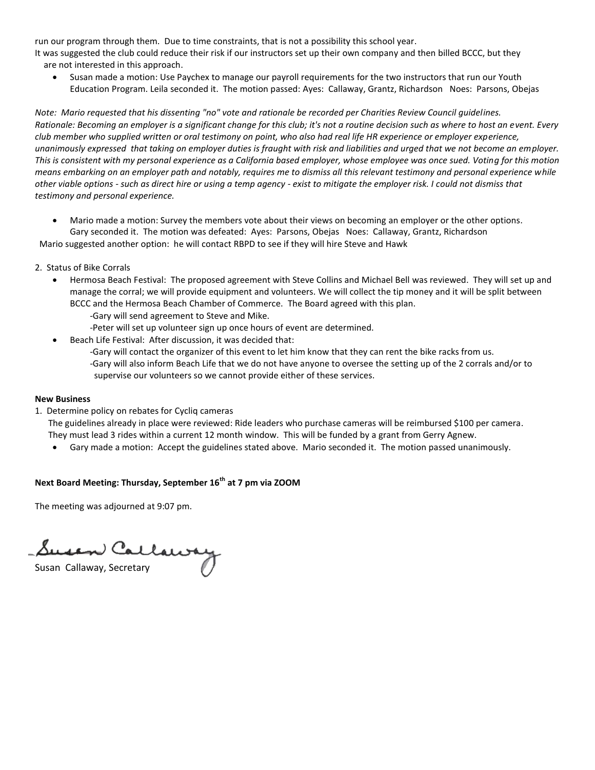run our program through them. Due to time constraints, that is not a possibility this school year.

It was suggested the club could reduce their risk if our instructors set up their own company and then billed BCCC, but they are not interested in this approach.

 Susan made a motion: Use Paychex to manage our payroll requirements for the two instructors that run our Youth Education Program. Leila seconded it. The motion passed: Ayes: Callaway, Grantz, Richardson Noes: Parsons, Obejas

*Note: Mario requested that his dissenting "no" vote and rationale be recorded per Charities Review Council guidelines. Rationale: Becoming an employer is a significant change for this club; it's not a routine decision such as where to host an event. Every club member who supplied written or oral testimony on point, who also had real life HR experience or employer experience, unanimously expressed that taking on employer duties is fraught with risk and liabilities and urged that we not become an employer. This is consistent with my personal experience as a California based employer, whose employee was once sued. Voting for this motion means embarking on an employer path and notably, requires me to dismiss all this relevant testimony and personal experience while other viable options - such as direct hire or using a temp agency - exist to mitigate the employer risk. I could not dismiss that testimony and personal experience.*

 Mario made a motion: Survey the members vote about their views on becoming an employer or the other options. Gary seconded it. The motion was defeated: Ayes: Parsons, Obejas Noes: Callaway, Grantz, Richardson

Mario suggested another option: he will contact RBPD to see if they will hire Steve and Hawk

- 2. Status of Bike Corrals
	- Hermosa Beach Festival: The proposed agreement with Steve Collins and Michael Bell was reviewed. They will set up and manage the corral; we will provide equipment and volunteers. We will collect the tip money and it will be split between BCCC and the Hermosa Beach Chamber of Commerce. The Board agreed with this plan.
		- -Gary will send agreement to Steve and Mike.
		- -Peter will set up volunteer sign up once hours of event are determined.
	- Beach Life Festival: After discussion, it was decided that:
		- -Gary will contact the organizer of this event to let him know that they can rent the bike racks from us.
		- -Gary will also inform Beach Life that we do not have anyone to oversee the setting up of the 2 corrals and/or to supervise our volunteers so we cannot provide either of these services.

### **New Business**

- 1. Determine policy on rebates for Cycliq cameras
	- The guidelines already in place were reviewed: Ride leaders who purchase cameras will be reimbursed \$100 per camera. They must lead 3 rides within a current 12 month window. This will be funded by a grant from Gerry Agnew.
		- Gary made a motion: Accept the guidelines stated above. Mario seconded it. The motion passed unanimously.

### **Next Board Meeting: Thursday, September 16th at 7 pm via ZOOM**

The meeting was adjourned at 9:07 pm.

j

Susan Callaway, Secretary